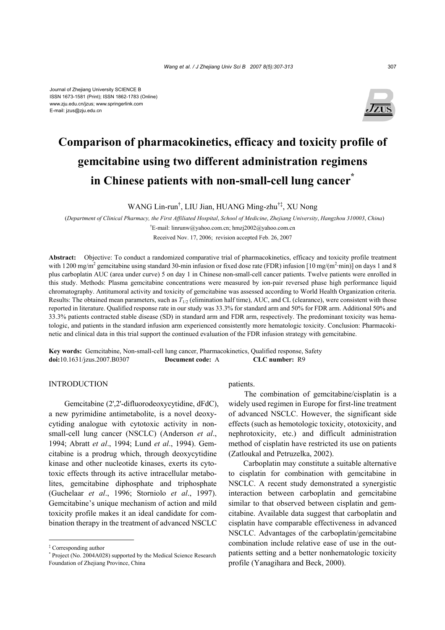

# **Comparison of pharmacokinetics, efficacy and toxicity profile of gemcitabine using two different administration regimens**  in Chinese patients with non-small-cell lung cancer<sup>\*</sup>

WANG Lin-run† , LIU Jian, HUANG Ming-zhu†‡, XU Nong

(*Department of Clinical Pharmacy, the First Affiliated Hospital*, *School of Medicine*, *Zhejiang University*, *Hangzhou 310003*, *China*) † E-mail: linrunw@yahoo.com.cn; hmzj2002@yahoo.com.cn

Received Nov. 17, 2006; revision accepted Feb. 26, 2007

**Abstract:** Objective: To conduct a randomized comparative trial of pharmacokinetics, efficacy and toxicity profile treatment with 1200 mg/m<sup>2</sup> gemcitabine using standard 30-min infusion or fixed dose rate (FDR) infusion [10 mg/(m<sup>2</sup>·min)] on days 1 and 8 plus carboplatin AUC (area under curve) 5 on day 1 in Chinese non-small-cell cancer patients. Twelve patients were enrolled in this study. Methods: Plasma gemcitabine concentrations were measured by ion-pair reversed phase high performance liquid chromatography. Antitumoral activity and toxicity of gemcitabine was assessed according to World Health Organization criteria. Results: The obtained mean parameters, such as  $T_{1/2}$  (elimination half time), AUC, and CL (clearance), were consistent with those reported in literature. Qualified response rate in our study was 33.3% for standard arm and 50% for FDR arm. Additional 50% and 33.3% patients contracted stable disease (SD) in standard arm and FDR arm, respectively. The predominant toxicity was hematologic, and patients in the standard infusion arm experienced consistently more hematologic toxicity. Conclusion: Pharmacokinetic and clinical data in this trial support the continued evaluation of the FDR infusion strategy with gemcitabine.

**Key words:** Gemcitabine, Non-small-cell lung cancer, Pharmacokinetics, Qualified response, Safety **doi:**10.1631/jzus.2007.B0307 **Document code:** A **CLC number:** R9

# INTRODUCTION

Gemcitabine (2',2'-difluorodeoxycytidine, dFdC), a new pyrimidine antimetabolite, is a novel deoxycytiding analogue with cytotoxic activity in nonsmall-cell lung cancer (NSCLC) (Anderson *et al*., 1994; Abratt *et al*., 1994; Lund *et al*., 1994). Gemcitabine is a prodrug which, through deoxycytidine kinase and other nucleotide kinases, exerts its cytotoxic effects through its active intracellular metabolites, gemcitabine diphosphate and triphosphate (Guchelaar *et al*., 1996; Storniolo *et al*., 1997). Gemcitabine's unique mechanism of action and mild toxicity profile makes it an ideal candidate for combination therapy in the treatment of advanced NSCLC

patients.

The combination of gemcitabine/cisplatin is a widely used regimen in Europe for first-line treatment of advanced NSCLC. However, the significant side effects (such as hemotologic toxicity, ototoxicity, and nephrotoxicity, etc.) and difficult administration method of cisplatin have restricted its use on patients (Zatloukal and Petruzelka, 2002).

Carboplatin may constitute a suitable alternative to cisplatin for combination with gemcitabine in NSCLC. A recent study demonstrated a synergistic interaction between carboplatin and gemcitabine similar to that observed between cisplatin and gemcitabine. Available data suggest that carboplatin and cisplatin have comparable effectiveness in advanced NSCLC. Advantages of the carboplatin/gemcitabine combination include relative ease of use in the outpatients setting and a better nonhematologic toxicity profile (Yanagihara and Beck, 2000).

<sup>‡</sup> Corresponding author

<sup>\*</sup> Project (No. 2004A028) supported by the Medical Science Research Foundation of Zhejiang Province, China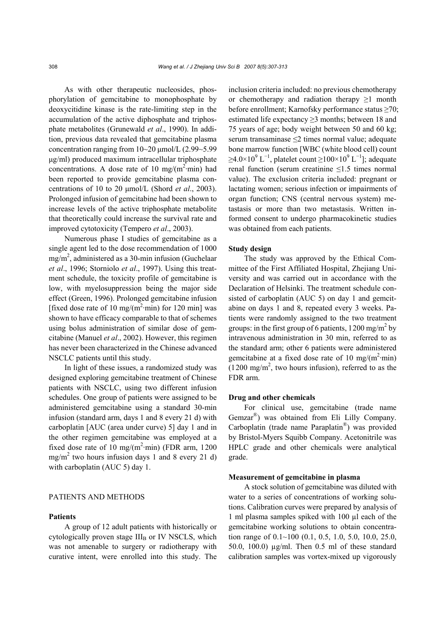As with other therapeutic nucleosides, phosphorylation of gemcitabine to monophosphate by deoxycitidine kinase is the rate-limiting step in the accumulation of the active diphosphate and triphosphate metabolites (Grunewald *et al*., 1990). In addition, previous data revealed that gemcitabine plasma concentration ranging from  $10~20 \mu$ mol/L  $(2.99~5.99)$ µg/ml) produced maximum intracellular triphosphate concentrations. A dose rate of 10 mg/( $m^2$ ·min) had been reported to provide gemcitabine plasma concentrations of 10 to 20 µmol/L (Shord *et al*., 2003). Prolonged infusion of gemcitabine had been shown to increase levels of the active triphosphate metabolite that theoretically could increase the survival rate and improved cytotoxicity (Tempero *et al*., 2003).

Numerous phase I studies of gemcitabine as a single agent led to the dose recommendation of 1000  $mg/m<sup>2</sup>$ , administered as a 30-min infusion (Guchelaar *et al*., 1996; Storniolo *et al*., 1997). Using this treatment schedule, the toxicity profile of gemcitabine is low, with myelosuppression being the major side effect (Green, 1996). Prolonged gemcitabine infusion [fixed dose rate of 10 mg/ $(m^2 \cdot min)$  for 120 min] was shown to have efficacy comparable to that of schemes using bolus administration of similar dose of gemcitabine (Manuel *et al*., 2002). However, this regimen has never been characterized in the Chinese advanced NSCLC patients until this study.

In light of these issues, a randomized study was designed exploring gemcitabine treatment of Chinese patients with NSCLC, using two different infusion schedules. One group of patients were assigned to be administered gemcitabine using a standard 30-min infusion (standard arm, days 1 and 8 every 21 d) with carboplatin [AUC (area under curve) 5] day 1 and in the other regimen gemcitabine was employed at a fixed dose rate of 10 mg/( $m^2$ ·min) (FDR arm, 1200  $mg/m<sup>2</sup>$  two hours infusion days 1 and 8 every 21 d) with carboplatin (AUC 5) day 1.

# PATIENTS AND METHODS

#### **Patients**

A group of 12 adult patients with historically or cytologically proven stage  $III<sub>B</sub>$  or IV NSCLS, which was not amenable to surgery or radiotherapy with curative intent, were enrolled into this study. The inclusion criteria included: no previous chemotherapy or chemotherapy and radiation therapy  $\geq 1$  month before enrollment; Karnofsky performance status ≥70; estimated life expectancy ≥3 months; between 18 and 75 years of age; body weight between 50 and 60 kg; serum transaminase ≤2 times normal value; adequate bone marrow function [WBC (white blood cell) count  $\geq$ 4.0×10<sup>9</sup> L<sup>-1</sup>, platelet count  $\geq$ 100×10<sup>9</sup> L<sup>-1</sup>]; adequate renal function (serum creatinine ≤1.5 times normal value). The exclusion criteria included: pregnant or lactating women; serious infection or impairments of organ function; CNS (central nervous system) metastasis or more than two metastasis. Written informed consent to undergo pharmacokinetic studies was obtained from each patients.

# **Study design**

The study was approved by the Ethical Committee of the First Affiliated Hospital, Zhejiang University and was carried out in accordance with the Declaration of Helsinki. The treatment schedule consisted of carboplatin (AUC 5) on day 1 and gemeitabine on days 1 and 8, repeated every 3 weeks. Patients were randomly assigned to the two treatment groups: in the first group of 6 patients,  $1200 \text{ mg/m}^2$  by intravenous administration in 30 min, referred to as the standard arm; other 6 patients were administered gemcitabine at a fixed dose rate of 10 mg/ $(m^2 \cdot min)$  $(1200 \text{ mg/m}^2)$ , two hours infusion), referred to as the FDR arm.

# **Drug and other chemicals**

For clinical use, gemcitabine (trade name Gemzar®) was obtained from Eli Lilly Company. Carboplatin (trade name Paraplatin®) was provided by Bristol-Myers Squibb Company. Acetonitrile was HPLC grade and other chemicals were analytical grade.

#### **Measurement of gemcitabine in plasma**

A stock solution of gemcitabine was diluted with water to a series of concentrations of working solutions. Calibration curves were prepared by analysis of 1 ml plasma samples spiked with 100 µl each of the gemcitabine working solutions to obtain concentration range of  $0.1 \sim 100$  (0.1, 0.5, 1.0, 5.0, 10.0, 25.0, 50.0, 100.0) µg/ml. Then 0.5 ml of these standard calibration samples was vortex-mixed up vigorously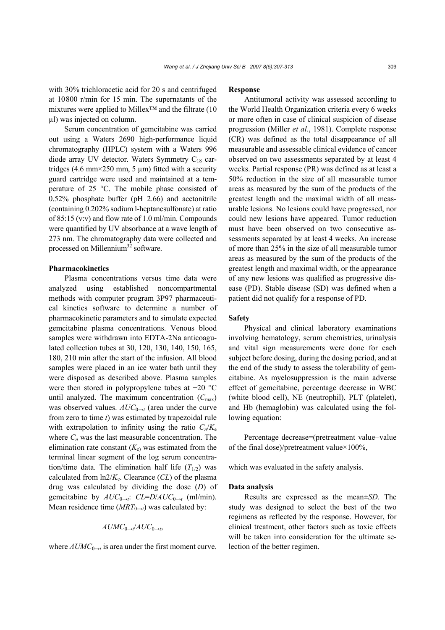with 30% trichloracetic acid for 20 s and centrifuged at 10800 r/min for 15 min. The supernatants of the mixtures were applied to Millex™ and the filtrate (10 µl) was injected on column.

Serum concentration of gemcitabine was carried out using a Waters 2690 high-performance liquid chromatography (HPLC) system with a Waters 996 diode array UV detector. Waters Symmetry  $C_{18}$  cartridges (4.6 mm $\times$ 250 mm, 5 µm) fitted with a security guard cartridge were used and maintained at a temperature of 25 °C. The mobile phase consisted of 0.52% phosphate buffer (pH 2.66) and acetonitrile (containing 0.202% sodium l-heptanesulfonate) at ratio of 85:15 (v:v) and flow rate of 1.0 ml/min. Compounds were quantified by UV absorbance at a wave length of 273 nm. The chromatography data were collected and processed on Millennium<sup>32</sup> software.

#### **Pharmacokinetics**

Plasma concentrations versus time data were analyzed using established noncompartmental methods with computer program 3P97 pharmaceutical kinetics software to determine a number of pharmacokinetic parameters and to simulate expected gemcitabine plasma concentrations. Venous blood samples were withdrawn into EDTA-2Na anticoagulated collection tubes at 30, 120, 130, 140, 150, 165, 180, 210 min after the start of the infusion. All blood samples were placed in an ice water bath until they were disposed as described above. Plasma samples were then stored in polypropylene tubes at −20 °C until analyzed. The maximum concentration  $(C_{\text{max}})$ was observed values.  $AUC_{0\rightarrow t}$  (area under the curve from zero to time *t*) was estimated by trapezoidal rule with extrapolation to infinity using the ratio  $C_n/K_e$ where  $C_n$  was the last measurable concentration. The elimination rate constant  $(K_e)$  was estimated from the terminal linear segment of the log serum concentration/time data. The elimination half life  $(T_{1/2})$  was calculated from  $\ln 2/K_e$ . Clearance (*CL*) of the plasma drug was calculated by dividing the dose (*D*) of gemcitabine by  $AUC_{0\rightarrow t}$ :  $CL=D/AUC_{0\rightarrow t}$  (ml/min). Mean residence time  $(MRT_{0\rightarrow t})$  was calculated by:

# $AUMC_{0\rightarrow t}/AUC_{0\rightarrow t}$

where  $AUMC_{0\rightarrow t}$  is area under the first moment curve.

### **Response**

Antitumoral activity was assessed according to the World Health Organization criteria every 6 weeks or more often in case of clinical suspicion of disease progression (Miller *et al*., 1981). Complete response (CR) was defined as the total disappearance of all measurable and assessable clinical evidence of cancer observed on two assessments separated by at least 4 weeks. Partial response (PR) was defined as at least a 50% reduction in the size of all measurable tumor areas as measured by the sum of the products of the greatest length and the maximal width of all measurable lesions. No lesions could have progressed, nor could new lesions have appeared. Tumor reduction must have been observed on two consecutive assessments separated by at least 4 weeks. An increase of more than 25% in the size of all measurable tumor areas as measured by the sum of the products of the greatest length and maximal width, or the appearance of any new lesions was qualified as progressive disease (PD). Stable disease (SD) was defined when a patient did not qualify for a response of PD.

#### **Safety**

Physical and clinical laboratory examinations involving hematology, serum chemistries, urinalysis and vital sign measurements were done for each subject before dosing, during the dosing period, and at the end of the study to assess the tolerability of gemcitabine. As myelosuppression is the main adverse effect of gemcitabine, percentage decrease in WBC (white blood cell), NE (neutrophil), PLT (platelet), and Hb (hemaglobin) was calculated using the following equation:

Percentage decrease=(pretreatment value−value of the final dose)/pretreatment value×100%,

which was evaluated in the safety analysis.

# **Data analysis**

Results are expressed as the mean±*SD*. The study was designed to select the best of the two regimens as reflected by the response. However, for clinical treatment, other factors such as toxic effects will be taken into consideration for the ultimate selection of the better regimen.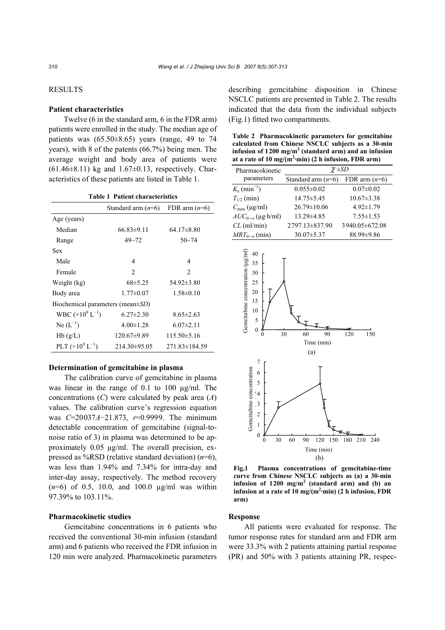# RESULTS

# **Patient characteristics**

Twelve (6 in the standard arm, 6 in the FDR arm) patients were enrolled in the study. The median age of patients was  $(65.50\pm8.65)$  years (range, 49 to 74 years), with 8 of the patents (66.7%) being men. The average weight and body area of patients were  $(61.46\pm8.11)$  kg and  $1.67\pm0.13$ , respectively. Characteristics of these patients are listed in Table 1.

| <b>Table 1 Patient characteristics</b> |                                    |                     |  |  |  |  |
|----------------------------------------|------------------------------------|---------------------|--|--|--|--|
|                                        | Standard arm $(n=6)$               | FDR arm $(n=6)$     |  |  |  |  |
| Age (years)                            |                                    |                     |  |  |  |  |
| Median                                 | $66.83 \pm 9.11$<br>$64.17\pm8.80$ |                     |  |  |  |  |
| Range                                  | $49 - 72$                          | $50 - 74$           |  |  |  |  |
| Sex                                    |                                    |                     |  |  |  |  |
| Male                                   | 4                                  | $\overline{4}$      |  |  |  |  |
| Female                                 | $\mathfrak{D}$                     | $\mathfrak{D}$      |  |  |  |  |
| Weight (kg)                            | $68\pm5.25$                        | $54.92 \pm 3.80$    |  |  |  |  |
| Body area                              | $1.77 \pm 0.07$                    | $1.58 \pm 0.10$     |  |  |  |  |
| Biochemical parameters (mean±SD)       |                                    |                     |  |  |  |  |
| WBC $(\times 10^9 L^{-1})$             | $6.27 \pm 2.30$                    | $8.65 \pm 2.63$     |  |  |  |  |
| $Ne (L^{-1})$                          | $4.00 \pm 1.28$                    | $6.07\pm2.11$       |  |  |  |  |
| Hb(g/L)                                | $120.67\pm9.89$                    | $115.50\pm5.16$     |  |  |  |  |
| PLT $(\times 10^9 L^{-1})$             | $214.30\pm95.05$                   | $271.83 \pm 184.59$ |  |  |  |  |

# **Determination of gemcitabine in plasma**

The calibration curve of gemcitabine in plasma was linear in the range of 0.1 to 100  $\mu$ g/ml. The concentrations (*C*) were calculated by peak area (*A*) values. The calibration curve's regression equation was *C*=20037*A*−21.873, *r*=0.9999. The minimum detectable concentration of gemcitabine (signal-tonoise ratio of 3) in plasma was determined to be approximately 0.05 µg/ml. The overall precision, expressed as %RSD (relative standard deviation) (*n*=6), was less than 1.94% and 7.34% for intra-day and inter-day assay, respectively. The method recovery (*n*=6) of 0.5, 10.0, and 100.0 µg/ml was within 97.39% to 103.11%.

#### **Pharmacokinetic studies**

Gemcitabine concentrations in 6 patients who received the conventional 30-min infusion (standard arm) and 6 patients who received the FDR infusion in 120 min were analyzed. Pharmacokinetic parameters describing gemcitabine disposition in Chinese NSCLC patients are presented in Table 2. The results indicated that the data from the individual subjects (Fig.1) fitted two compartments.

**Table 2 Pharmacokinetic parameters for gemcitabine calculated from Chinese NSCLC subjects as a 30-min infusion of 1200 mg/m2 (standard arm) and an infusion**  at a rate of  $10 \text{ mg/(m}^2 \cdot \text{min})$  (2 h infusion, FDR arm)

| Pharmacokinetic                  | $\overline{\chi} \pm SD$ |                  |  |
|----------------------------------|--------------------------|------------------|--|
| parameters                       | Standard arm $(n=6)$     | FDR arm $(n=6)$  |  |
| $K_e$ (min <sup>-1</sup> )       | $0.055 \pm 0.02$         | $0.07 \pm 0.02$  |  |
| $T_{1/2}$ (min)                  | $14.75 \pm 5.45$         | $10.67 \pm 3.38$ |  |
| $C_{\text{max}}$ (µg/ml)         | $26.79 \pm 10.06$        | $4.92 \pm 1.79$  |  |
| $AUC_{0\rightarrow t}$ (µg·h/ml) | $13.29 \pm 4.85$         | $7.55 \pm 1.53$  |  |
| $CL$ (ml/min)                    | 2797.13 ± 837.90         | 3940.05 ± 672.08 |  |
| $MRT_{0\rightarrow t}$ (min)     | $30.07 \pm 5.37$         | 88.99±9.86       |  |



**Fig.1 Plasma concentrations of gemcitabine-time curve from Chinese NSCLC subjects as (a) a 30-min infusion of 1200 mg/m2 (standard arm) and (b) an infusion at a rate of 10 mg/(m2 ·min) (2 h infusion, FDR arm)**

#### **Response**

All patients were evaluated for response. The tumor response rates for standard arm and FDR arm were 33.3% with 2 patients attaining partial response (PR) and 50% with 3 patients attaining PR, respec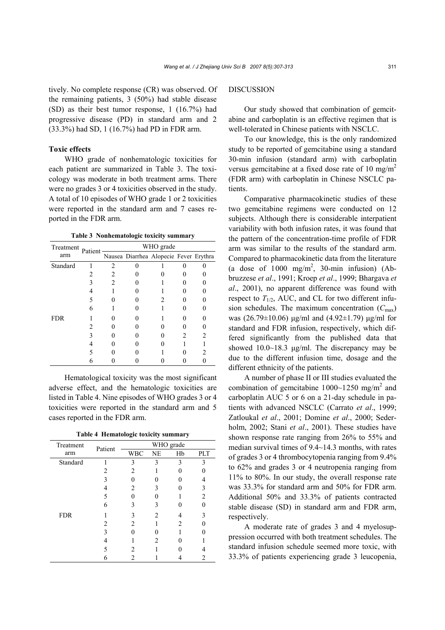tively. No complete response (CR) was observed. Of the remaining patients, 3 (50%) had stable disease (SD) as their best tumor response, 1 (16.7%) had progressive disease (PD) in standard arm and 2 (33.3%) had SD, 1 (16.7%) had PD in FDR arm.

#### **Toxic effects**

WHO grade of nonhematologic toxicities for each patient are summarized in Table 3. The toxicology was moderate in both treatment arms. There were no grades 3 or 4 toxicities observed in the study. A total of 10 episodes of WHO grade 1 or 2 toxicities were reported in the standard arm and 7 cases reported in the FDR arm.

**Table 3 Nonhematologic toxicity summary**

| Treatment  | Patient | WHO grade |  |                                        |   |  |
|------------|---------|-----------|--|----------------------------------------|---|--|
| arm        |         |           |  | Nausea Diarrhea Alopecie Fever Erythra |   |  |
| Standard   |         | C         |  |                                        |   |  |
|            |         |           |  |                                        |   |  |
|            |         |           |  |                                        |   |  |
|            |         |           |  |                                        |   |  |
|            |         |           |  |                                        |   |  |
|            | 6       |           |  |                                        |   |  |
| <b>FDR</b> |         |           |  |                                        |   |  |
|            |         |           |  |                                        |   |  |
|            |         |           |  |                                        | 2 |  |
|            |         |           |  |                                        |   |  |
|            |         |           |  |                                        |   |  |
|            |         |           |  |                                        |   |  |

Hematological toxicity was the most significant adverse effect, and the hematologic toxicities are listed in Table 4. Nine episodes of WHO grades 3 or 4 toxicities were reported in the standard arm and 5 cases reported in the FDR arm.

**Table 4 Hematologic toxicity summary**

| Treatment  | Patient | WHO grade                     |   |                       |     |
|------------|---------|-------------------------------|---|-----------------------|-----|
| arm        |         | WBC NE                        |   | Hb                    | PLT |
| Standard   |         |                               |   |                       | 3   |
|            |         | $\mathcal{L}$                 |   |                       |     |
|            |         |                               |   |                       |     |
|            |         | 2                             |   |                       | 3   |
|            | 5       |                               |   |                       | 2   |
|            | 6       |                               |   |                       |     |
| <b>FDR</b> |         |                               | 2 |                       |     |
|            | 2       | $\mathfrak{D}_{\mathfrak{p}}$ |   | $\mathcal{D}_{\cdot}$ |     |
|            |         |                               |   |                       |     |
|            |         |                               |   |                       |     |
|            |         | 2                             |   |                       |     |
|            | 6       |                               |   |                       |     |

# DISCUSSION

Our study showed that combination of gemcitabine and carboplatin is an effective regimen that is well-tolerated in Chinese patients with NSCLC.

To our knowledge, this is the only randomized study to be reported of gemcitabine using a standard 30-min infusion (standard arm) with carboplatin versus gemcitabine at a fixed dose rate of 10 mg/m<sup>2</sup> (FDR arm) with carboplatin in Chinese NSCLC patients.

Comparative pharmacokinetic studies of these two gemcitabine regimens were conducted on 12 subjects. Although there is considerable interpatient variability with both infusion rates, it was found that the pattern of the concentration-time profile of FDR arm was similar to the results of the standard arm. Compared to pharmacokinetic data from the literature (a dose of  $1000 \text{ mg/m}^2$ , 30-min infusion) (Abbruzzese *et al*., 1991; Kroep *et al*., 1999; Bhargava *et al*., 2001), no apparent difference was found with respect to  $T_{1/2}$ , AUC, and CL for two different infusion schedules. The maximum concentration  $(C_{\text{max}})$ was (26.79±10.06) µg/ml and (4.92±1.79) µg/ml for standard and FDR infusion, respectively, which differed significantly from the published data that showed 10.0~18.3 µg/ml. The discrepancy may be due to the different infusion time, dosage and the different ethnicity of the patients.

A number of phase II or III studies evaluated the combination of gemcitabine  $1000~1250$  mg/m<sup>2</sup> and carboplatin AUC 5 or 6 on a 21-day schedule in patients with advanced NSCLC (Carrato *et al*., 1999; Zatloukal *et al*., 2001; Domine *et al*., 2000; Sederholm, 2002; Stani *et al*., 2001). These studies have shown response rate ranging from 26% to 55% and median survival times of 9.4~14.3 months, with rates of grades 3 or 4 thrombocytopenia ranging from 9.4% to 62% and grades 3 or 4 neutropenia ranging from 11% to 80%. In our study, the overall response rate was 33.3% for standard arm and 50% for FDR arm. Additional 50% and 33.3% of patients contracted stable disease (SD) in standard arm and FDR arm, respectively.

A moderate rate of grades 3 and 4 myelosuppression occurred with both treatment schedules. The standard infusion schedule seemed more toxic, with 33.3% of patients experiencing grade 3 leucopenia,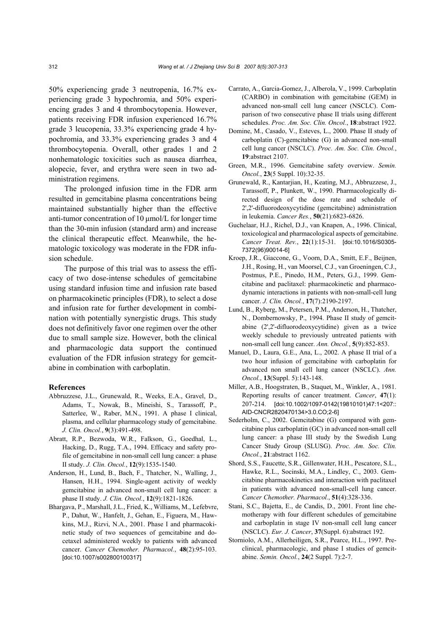50% experiencing grade 3 neutropenia, 16.7% experiencing grade 3 hypochromia, and 50% experiencing grades 3 and 4 thrombocytopenia. However, patients receiving FDR infusion experienced 16.7% grade 3 leucopenia, 33.3% experiencing grade 4 hypochromia, and 33.3% experiencing grades 3 and 4 thrombocytopenia. Overall, other grades 1 and 2 nonhematologic toxicities such as nausea diarrhea, alopecie, fever, and erythra were seen in two administration regimens.

The prolonged infusion time in the FDR arm resulted in gemcitabine plasma concentrations being maintained substantially higher than the effective anti-tumor concentration of  $10 \mu$ mol/L for longer time than the 30-min infusion (standard arm) and increase the clinical therapeutic effect. Meanwhile, the hematologic toxicology was moderate in the FDR infusion schedule.

The purpose of this trial was to assess the efficacy of two dose-intense schedules of gemcitabine using standard infusion time and infusion rate based on pharmacokinetic principles (FDR), to select a dose and infusion rate for further development in combination with potentially synergistic drugs. This study does not definitively favor one regimen over the other due to small sample size. However, both the clinical and pharmacologic data support the continued evaluation of the FDR infusion strategy for gemcitabine in combination with carboplatin.

#### **References**

- Abbruzzese, J.L., Grunewald, R., Weeks, E.A., Gravel, D., Adams, T., Nowak, B., Mineishi, S., Tarassoff, P., Satterlee, W., Raber, M.N., 1991. A phase I clinical, plasma, and cellular pharmacology study of gemcitabine. *J. Clin. Oncol.*, **9**(3):491-498.
- Abratt, R.P., Bezwoda, W.R., Falkson, G., Goedhal, L., Hacking, D., Rugg, T.A., 1994. Efficacy and safety profile of gemcitabine in non-small cell lung cancer: a phase II study. *J. Clin. Oncol.*, **12**(9):1535-1540.
- Anderson, H., Lund, B., Bach, F., Thatcher, N., Walling, J., Hansen, H.H., 1994. Single-agent activity of weekly gemcitabine in advanced non-small cell lung cancer: a phase II study. *J. Clin. Oncol.*, **12**(9):1821-1826.
- Bhargava, P., Marshall, J.L., Fried, K., Williams, M., Lefebvre, P., Dahut, W., Hanfelt, J., Gehan, E., Figuera, M., Hawkins, M.J., Rizvi, N.A., 2001. Phase I and pharmacokinetic study of two sequences of gemcitabine and docetaxel administered weekly to patients with advanced cancer. *Cancer Chemother. Pharmacol.*, **48**(2):95-103. [doi:10.1007/s002800100317]
- Carrato, A., Garcia-Gomez, J., Alberola, V., 1999. Carboplatin (CARBO) in combination with gemcitabine (GEM) in advanced non-small cell lung cancer (NSCLC). Comparison of two consecutive phase II trials using different schedules. *Proc. Am. Soc. Clin. Oncol.*, **18**:abstract 1922.
- Domine, M., Casado, V., Esteves, L., 2000. Phase II study of carboplatin (C)-gemcitabine (G) in advanced non-small cell lung cancer (NSCLC). *Proc. Am. Soc. Clin. Oncol.*, **19**:abstract 2107.
- Green, M.R., 1996. Gemcitabine safety overview. *Semin. Oncol.*, **23**(5 Suppl. 10):32-35.
- Grunewald, R., Kantarjian, H., Keating, M.J., Abbruzzese, J., Tarassoff, P., Plunkett, W., 1990. Pharmacologically directed design of the dose rate and schedule of 2',2'-difluorodeoxycytidine (gemcitabine) administration in leukemia. *Cancer Res.*, **50**(21):6823-6826.
- Guchelaar, H.J., Richel, D.J., van Knapen, A., 1996. Clinical, toxicological and pharmacological aspects of gemcitabine. *Cancer Treat. Rev.*, **22**(1):15-31. [doi:10.1016/S0305- 7372(96)90014-6]
- Kroep, J.R., Giaccone, G., Voorn, D.A., Smitt, E.F., Beijnen, J.H., Rosing, H., van Moorsel, C.J., van Groeningen, C.J., Postmus, P.E., Pinedo, H.M., Peters, G.J., 1999. Gemcitabine and paclitaxel: pharmacokinetic and pharmacodynamic interactions in patients with non-small-cell lung cancer. *J. Clin. Oncol.*, **17**(7):2190-2197.
- Lund, B., Ryberg, M., Petersen, P.M., Anderson, H., Thatcher, N., Dombernowsky, P., 1994. Phase II study of gemcitabine (2',2'-difluorodeoxycytidine) given as a twice weekly schedule to previously untreated patients with non-small cell lung cancer. *Ann. Oncol.*, **5**(9):852-853.
- Manuel, D., Laura, G.E., Ana, L., 2002. A phase II trial of a two hour infusion of gemcitabine with carboplatin for advanced non small cell lung cancer (NSCLC). *Ann. Oncol.*, **13**(Suppl. 5):143-148.
- Miller, A.B., Hoogstraten, B., Staquet, M., Winkler, A., 1981. Reporting results of cancer treatment. *Cancer*, **47**(1): 207-214. [doi:10.1002/1097-0142(19810101)47:1<207:: AID-CNCR2820470134>3.0.CO;2-6]
- Sederholm, C., 2002. Gemcitabine (G) compared with gemcitabine plus carboplatin (GC) in advanced non-small cell lung cancer: a phase III study by the Swedish Lung Cancer Study Group (SLUSG). *Proc. Am. Soc. Clin. Oncol.*, **21**:abstract 1162.
- Shord, S.S., Faucette, S.R., Gillenwater, H.H., Pescatore, S.L., Hawke, R.L., Socinski, M.A., Lindley, C., 2003. Gemcitabine pharmacokinetics and interaction with paclitaxel in patients with advanced non-small-cell lung cancer. *Cancer Chemother. Pharmacol.*, **51**(4):328-336.
- Stani, S.C., Bajetta, E., de Candis, D., 2001. Front line chemotherapy with four different schedules of gemcitabine and carboplatin in stage IV non-small cell lung cancer (NSCLC). *Eur. J. Cancer*, **37**(Suppl. 6):abstract 192.
- Storniolo, A.M., Allerheiligen, S.R., Pearce, H.L., 1997. Preclinical, pharmacologic, and phase I studies of gemcitabine. *Semin. Oncol.*, **24**(2 Suppl. 7):2-7.